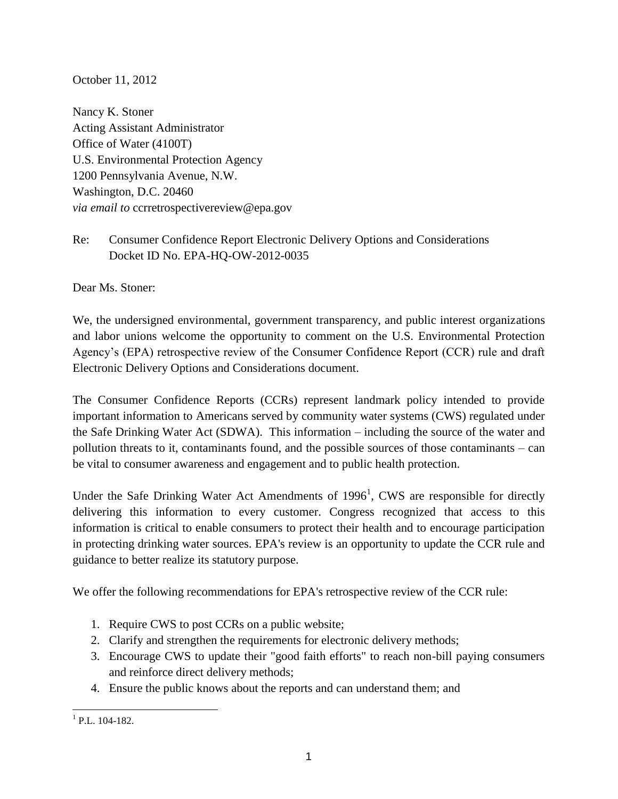October 11, 2012

Nancy K. Stoner Acting Assistant Administrator Office of Water (4100T) U.S. Environmental Protection Agency 1200 Pennsylvania Avenue, N.W. Washington, D.C. 20460 *via email to* ccrretrospectivereview@epa.gov

Re: Consumer Confidence Report Electronic Delivery Options and Considerations Docket ID No. EPA-HQ-OW-2012-0035

Dear Ms. Stoner:

We, the undersigned environmental, government transparency, and public interest organizations and labor unions welcome the opportunity to comment on the U.S. Environmental Protection Agency's (EPA) retrospective review of the Consumer Confidence Report (CCR) rule and draft Electronic Delivery Options and Considerations document.

The Consumer Confidence Reports (CCRs) represent landmark policy intended to provide important information to Americans served by community water systems (CWS) regulated under the Safe Drinking Water Act (SDWA). This information – including the source of the water and pollution threats to it, contaminants found, and the possible sources of those contaminants – can be vital to consumer awareness and engagement and to public health protection.

Under the Safe Drinking Water Act Amendments of  $1996<sup>1</sup>$ , CWS are responsible for directly delivering this information to every customer. Congress recognized that access to this information is critical to enable consumers to protect their health and to encourage participation in protecting drinking water sources. EPA's review is an opportunity to update the CCR rule and guidance to better realize its statutory purpose.

We offer the following recommendations for EPA's retrospective review of the CCR rule:

- 1. Require CWS to post CCRs on a public website;
- 2. Clarify and strengthen the requirements for electronic delivery methods;
- 3. Encourage CWS to update their "good faith efforts" to reach non-bill paying consumers and reinforce direct delivery methods;
- 4. Ensure the public knows about the reports and can understand them; and

 $\frac{1}{1}$  P.L. 104-182.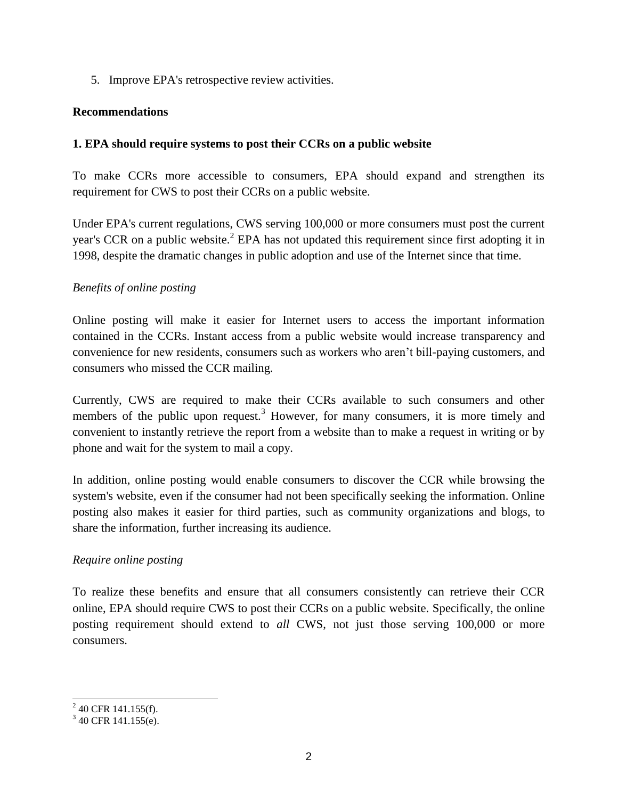5. Improve EPA's retrospective review activities.

### **Recommendations**

### **1. EPA should require systems to post their CCRs on a public website**

To make CCRs more accessible to consumers, EPA should expand and strengthen its requirement for CWS to post their CCRs on a public website.

Under EPA's current regulations, CWS serving 100,000 or more consumers must post the current year's CCR on a public website.<sup>2</sup> EPA has not updated this requirement since first adopting it in 1998, despite the dramatic changes in public adoption and use of the Internet since that time.

### *Benefits of online posting*

Online posting will make it easier for Internet users to access the important information contained in the CCRs. Instant access from a public website would increase transparency and convenience for new residents, consumers such as workers who aren't bill-paying customers, and consumers who missed the CCR mailing.

Currently, CWS are required to make their CCRs available to such consumers and other members of the public upon request.<sup>3</sup> However, for many consumers, it is more timely and convenient to instantly retrieve the report from a website than to make a request in writing or by phone and wait for the system to mail a copy.

In addition, online posting would enable consumers to discover the CCR while browsing the system's website, even if the consumer had not been specifically seeking the information. Online posting also makes it easier for third parties, such as community organizations and blogs, to share the information, further increasing its audience.

# *Require online posting*

To realize these benefits and ensure that all consumers consistently can retrieve their CCR online, EPA should require CWS to post their CCRs on a public website. Specifically, the online posting requirement should extend to *all* CWS, not just those serving 100,000 or more consumers.

 $^{2}$  40 CFR 141.155(f).

 $3$  40 CFR 141.155(e).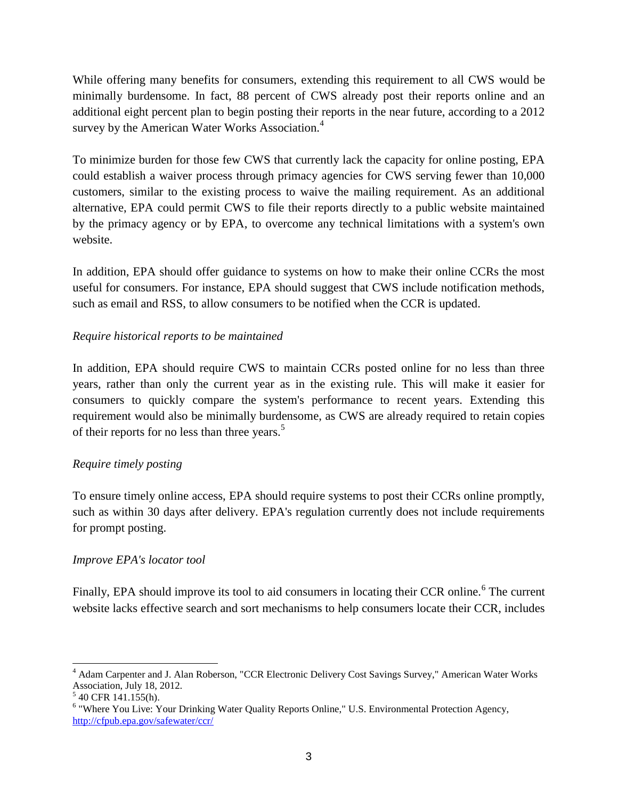While offering many benefits for consumers, extending this requirement to all CWS would be minimally burdensome. In fact, 88 percent of CWS already post their reports online and an additional eight percent plan to begin posting their reports in the near future, according to a 2012 survey by the American Water Works Association.<sup>4</sup>

To minimize burden for those few CWS that currently lack the capacity for online posting, EPA could establish a waiver process through primacy agencies for CWS serving fewer than 10,000 customers, similar to the existing process to waive the mailing requirement. As an additional alternative, EPA could permit CWS to file their reports directly to a public website maintained by the primacy agency or by EPA, to overcome any technical limitations with a system's own website.

In addition, EPA should offer guidance to systems on how to make their online CCRs the most useful for consumers. For instance, EPA should suggest that CWS include notification methods, such as email and RSS, to allow consumers to be notified when the CCR is updated.

# *Require historical reports to be maintained*

In addition, EPA should require CWS to maintain CCRs posted online for no less than three years, rather than only the current year as in the existing rule. This will make it easier for consumers to quickly compare the system's performance to recent years. Extending this requirement would also be minimally burdensome, as CWS are already required to retain copies of their reports for no less than three years.<sup>5</sup>

# *Require timely posting*

To ensure timely online access, EPA should require systems to post their CCRs online promptly, such as within 30 days after delivery. EPA's regulation currently does not include requirements for prompt posting.

# *Improve EPA's locator tool*

Finally, EPA should improve its tool to aid consumers in locating their CCR online.<sup>6</sup> The current website lacks effective search and sort mechanisms to help consumers locate their CCR, includes

<sup>4</sup> Adam Carpenter and J. Alan Roberson, "CCR Electronic Delivery Cost Savings Survey," American Water Works Association, July 18, 2012.

 $540$  CFR 141.155(h).

<sup>&</sup>lt;sup>6</sup> "Where You Live: Your Drinking Water Quality Reports Online," U.S. Environmental Protection Agency, <http://cfpub.epa.gov/safewater/ccr/>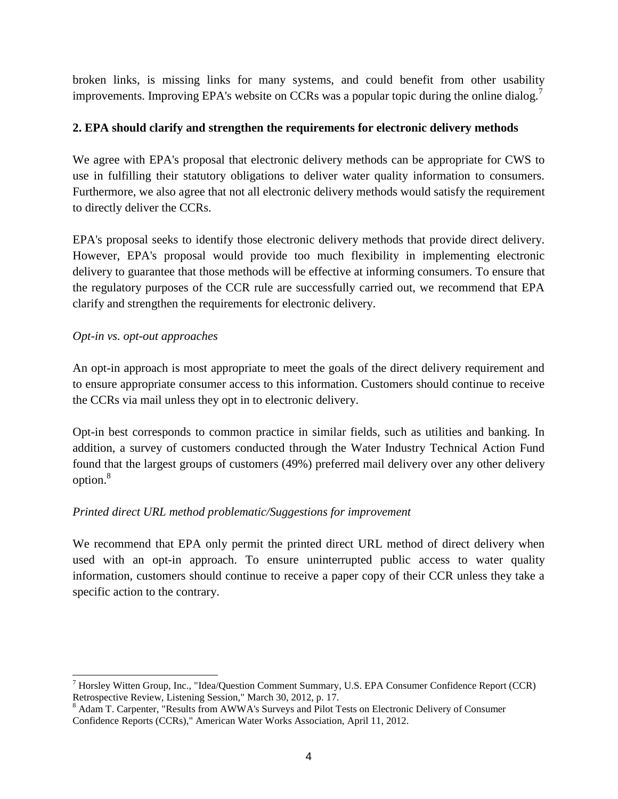broken links, is missing links for many systems, and could benefit from other usability improvements. Improving EPA's website on CCRs was a popular topic during the online dialog.<sup>7</sup>

# **2. EPA should clarify and strengthen the requirements for electronic delivery methods**

We agree with EPA's proposal that electronic delivery methods can be appropriate for CWS to use in fulfilling their statutory obligations to deliver water quality information to consumers. Furthermore, we also agree that not all electronic delivery methods would satisfy the requirement to directly deliver the CCRs.

EPA's proposal seeks to identify those electronic delivery methods that provide direct delivery. However, EPA's proposal would provide too much flexibility in implementing electronic delivery to guarantee that those methods will be effective at informing consumers. To ensure that the regulatory purposes of the CCR rule are successfully carried out, we recommend that EPA clarify and strengthen the requirements for electronic delivery.

# *Opt-in vs. opt-out approaches*

An opt-in approach is most appropriate to meet the goals of the direct delivery requirement and to ensure appropriate consumer access to this information. Customers should continue to receive the CCRs via mail unless they opt in to electronic delivery.

Opt-in best corresponds to common practice in similar fields, such as utilities and banking. In addition, a survey of customers conducted through the Water Industry Technical Action Fund found that the largest groups of customers (49%) preferred mail delivery over any other delivery option.<sup>8</sup>

# *Printed direct URL method problematic/Suggestions for improvement*

We recommend that EPA only permit the printed direct URL method of direct delivery when used with an opt-in approach. To ensure uninterrupted public access to water quality information, customers should continue to receive a paper copy of their CCR unless they take a specific action to the contrary.

<sup>&</sup>lt;sup>7</sup> Horsley Witten Group, Inc., "Idea/Question Comment Summary, U.S. EPA Consumer Confidence Report (CCR) Retrospective Review, Listening Session," March 30, 2012, p. 17.

<sup>&</sup>lt;sup>8</sup> Adam T. Carpenter, "Results from AWWA's Surveys and Pilot Tests on Electronic Delivery of Consumer Confidence Reports (CCRs)," American Water Works Association, April 11, 2012.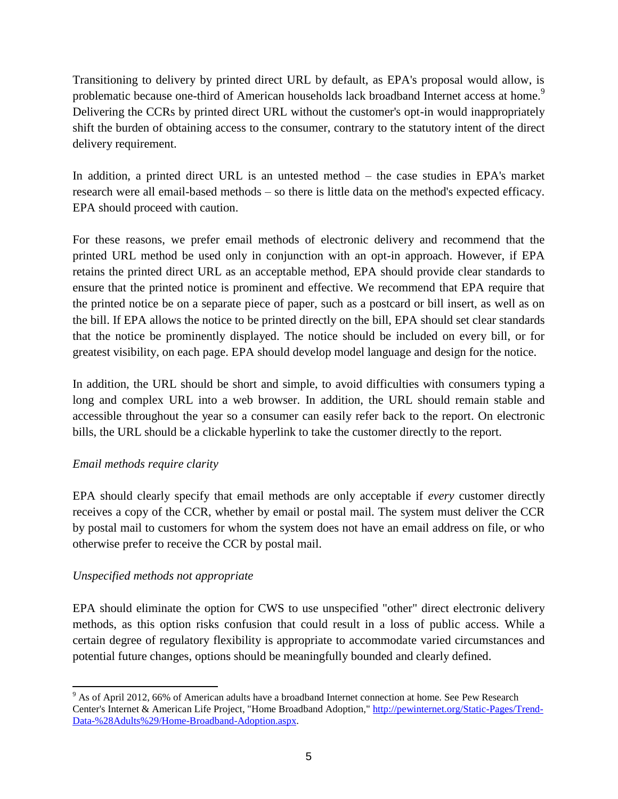Transitioning to delivery by printed direct URL by default, as EPA's proposal would allow, is problematic because one-third of American households lack broadband Internet access at home.<sup>9</sup> Delivering the CCRs by printed direct URL without the customer's opt-in would inappropriately shift the burden of obtaining access to the consumer, contrary to the statutory intent of the direct delivery requirement.

In addition, a printed direct URL is an untested method – the case studies in EPA's market research were all email-based methods – so there is little data on the method's expected efficacy. EPA should proceed with caution.

For these reasons, we prefer email methods of electronic delivery and recommend that the printed URL method be used only in conjunction with an opt-in approach. However, if EPA retains the printed direct URL as an acceptable method, EPA should provide clear standards to ensure that the printed notice is prominent and effective. We recommend that EPA require that the printed notice be on a separate piece of paper, such as a postcard or bill insert, as well as on the bill. If EPA allows the notice to be printed directly on the bill, EPA should set clear standards that the notice be prominently displayed. The notice should be included on every bill, or for greatest visibility, on each page. EPA should develop model language and design for the notice.

In addition, the URL should be short and simple, to avoid difficulties with consumers typing a long and complex URL into a web browser. In addition, the URL should remain stable and accessible throughout the year so a consumer can easily refer back to the report. On electronic bills, the URL should be a clickable hyperlink to take the customer directly to the report.

# *Email methods require clarity*

EPA should clearly specify that email methods are only acceptable if *every* customer directly receives a copy of the CCR, whether by email or postal mail. The system must deliver the CCR by postal mail to customers for whom the system does not have an email address on file, or who otherwise prefer to receive the CCR by postal mail.

# *Unspecified methods not appropriate*

 $\overline{a}$ 

EPA should eliminate the option for CWS to use unspecified "other" direct electronic delivery methods, as this option risks confusion that could result in a loss of public access. While a certain degree of regulatory flexibility is appropriate to accommodate varied circumstances and potential future changes, options should be meaningfully bounded and clearly defined.

<sup>&</sup>lt;sup>9</sup> As of April 2012, 66% of American adults have a broadband Internet connection at home. See Pew Research Center's Internet & American Life Project, "Home Broadband Adoption," [http://pewinternet.org/Static-Pages/Trend-](http://pewinternet.org/Static-Pages/Trend-Data-%28Adults%29/Home-Broadband-Adoption.aspx)[Data-%28Adults%29/Home-Broadband-Adoption.aspx.](http://pewinternet.org/Static-Pages/Trend-Data-%28Adults%29/Home-Broadband-Adoption.aspx)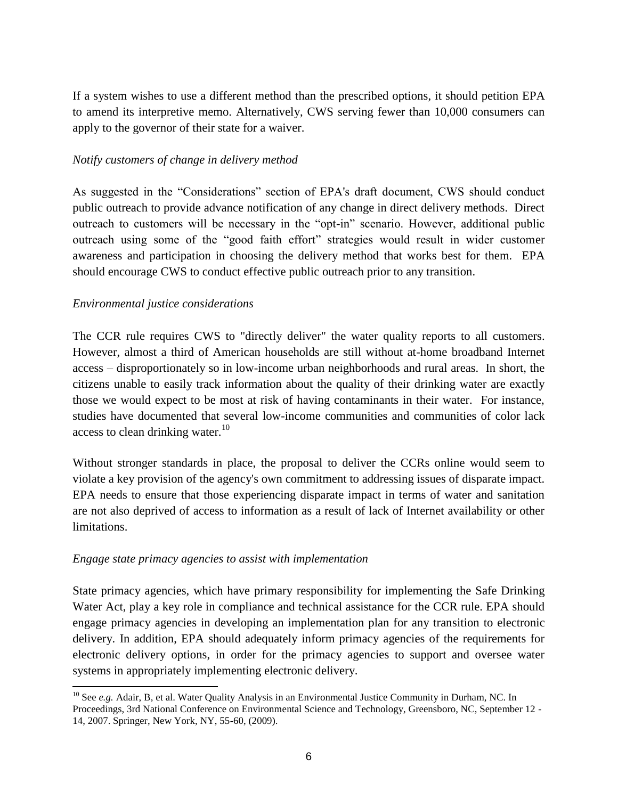If a system wishes to use a different method than the prescribed options, it should petition EPA to amend its interpretive memo. Alternatively, CWS serving fewer than 10,000 consumers can apply to the governor of their state for a waiver.

### *Notify customers of change in delivery method*

As suggested in the "Considerations" section of EPA's draft document, CWS should conduct public outreach to provide advance notification of any change in direct delivery methods. Direct outreach to customers will be necessary in the "opt-in" scenario. However, additional public outreach using some of the "good faith effort" strategies would result in wider customer awareness and participation in choosing the delivery method that works best for them. EPA should encourage CWS to conduct effective public outreach prior to any transition.

### *Environmental justice considerations*

 $\overline{a}$ 

The CCR rule requires CWS to "directly deliver" the water quality reports to all customers. However, almost a third of American households are still without at-home broadband Internet access – disproportionately so in low-income urban neighborhoods and rural areas. In short, the citizens unable to easily track information about the quality of their drinking water are exactly those we would expect to be most at risk of having contaminants in their water. For instance, studies have documented that several low-income communities and communities of color lack access to clean drinking water.<sup>10</sup>

Without stronger standards in place, the proposal to deliver the CCRs online would seem to violate a key provision of the agency's own commitment to addressing issues of disparate impact. EPA needs to ensure that those experiencing disparate impact in terms of water and sanitation are not also deprived of access to information as a result of lack of Internet availability or other limitations.

# *Engage state primacy agencies to assist with implementation*

State primacy agencies, which have primary responsibility for implementing the Safe Drinking Water Act, play a key role in compliance and technical assistance for the CCR rule. EPA should engage primacy agencies in developing an implementation plan for any transition to electronic delivery. In addition, EPA should adequately inform primacy agencies of the requirements for electronic delivery options, in order for the primacy agencies to support and oversee water systems in appropriately implementing electronic delivery.

<sup>&</sup>lt;sup>10</sup> See *e.g.* Adair, B, et al. Water Quality Analysis in an Environmental Justice Community in Durham, NC. In Proceedings, 3rd National Conference on Environmental Science and Technology, Greensboro, NC, September 12 - 14, 2007. Springer, New York, NY, 55-60, (2009).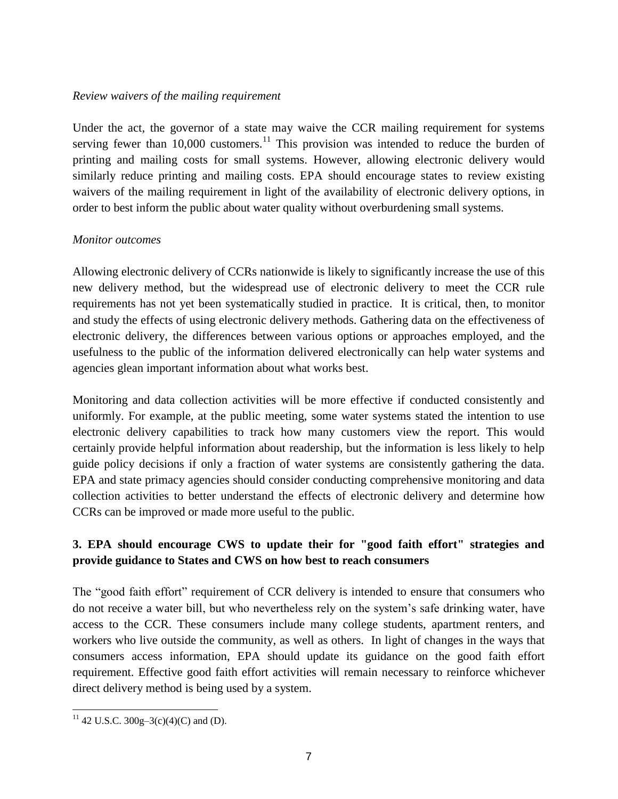#### *Review waivers of the mailing requirement*

Under the act, the governor of a state may waive the CCR mailing requirement for systems serving fewer than  $10,000$  customers.<sup>11</sup> This provision was intended to reduce the burden of printing and mailing costs for small systems. However, allowing electronic delivery would similarly reduce printing and mailing costs. EPA should encourage states to review existing waivers of the mailing requirement in light of the availability of electronic delivery options, in order to best inform the public about water quality without overburdening small systems.

#### *Monitor outcomes*

Allowing electronic delivery of CCRs nationwide is likely to significantly increase the use of this new delivery method, but the widespread use of electronic delivery to meet the CCR rule requirements has not yet been systematically studied in practice. It is critical, then, to monitor and study the effects of using electronic delivery methods. Gathering data on the effectiveness of electronic delivery, the differences between various options or approaches employed, and the usefulness to the public of the information delivered electronically can help water systems and agencies glean important information about what works best.

Monitoring and data collection activities will be more effective if conducted consistently and uniformly. For example, at the public meeting, some water systems stated the intention to use electronic delivery capabilities to track how many customers view the report. This would certainly provide helpful information about readership, but the information is less likely to help guide policy decisions if only a fraction of water systems are consistently gathering the data. EPA and state primacy agencies should consider conducting comprehensive monitoring and data collection activities to better understand the effects of electronic delivery and determine how CCRs can be improved or made more useful to the public.

# **3. EPA should encourage CWS to update their for "good faith effort" strategies and provide guidance to States and CWS on how best to reach consumers**

The "good faith effort" requirement of CCR delivery is intended to ensure that consumers who do not receive a water bill, but who nevertheless rely on the system's safe drinking water, have access to the CCR. These consumers include many college students, apartment renters, and workers who live outside the community, as well as others. In light of changes in the ways that consumers access information, EPA should update its guidance on the good faith effort requirement. Effective good faith effort activities will remain necessary to reinforce whichever direct delivery method is being used by a system.

 <sup>11</sup> 42 U.S.C. 300g-3(c)(4)(C) and (D).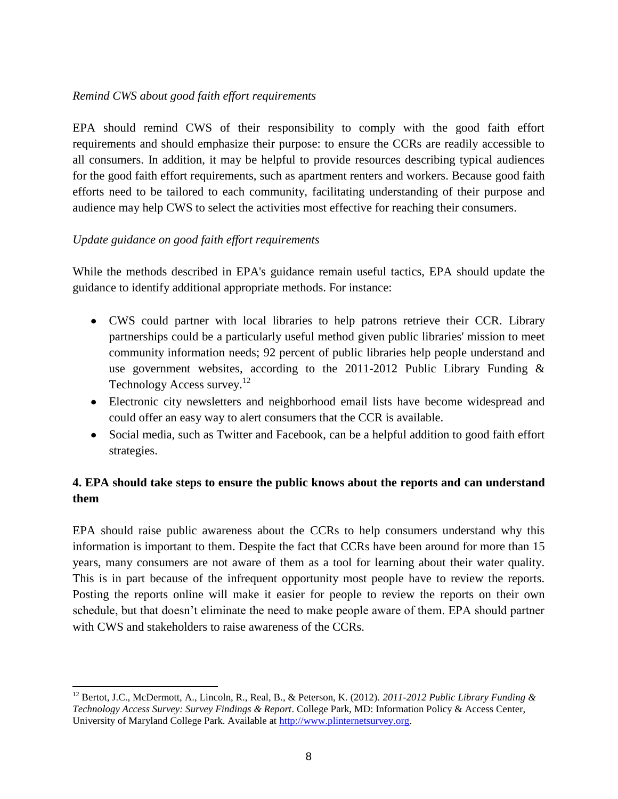# *Remind CWS about good faith effort requirements*

EPA should remind CWS of their responsibility to comply with the good faith effort requirements and should emphasize their purpose: to ensure the CCRs are readily accessible to all consumers. In addition, it may be helpful to provide resources describing typical audiences for the good faith effort requirements, such as apartment renters and workers. Because good faith efforts need to be tailored to each community, facilitating understanding of their purpose and audience may help CWS to select the activities most effective for reaching their consumers.

### *Update guidance on good faith effort requirements*

 $\overline{a}$ 

While the methods described in EPA's guidance remain useful tactics, EPA should update the guidance to identify additional appropriate methods. For instance:

- CWS could partner with local libraries to help patrons retrieve their CCR. Library partnerships could be a particularly useful method given public libraries' mission to meet community information needs; 92 percent of public libraries help people understand and use government websites, according to the 2011-2012 Public Library Funding & Technology Access survey.<sup>12</sup>
- Electronic city newsletters and neighborhood email lists have become widespread and could offer an easy way to alert consumers that the CCR is available.
- Social media, such as Twitter and Facebook, can be a helpful addition to good faith effort strategies.

# **4. EPA should take steps to ensure the public knows about the reports and can understand them**

EPA should raise public awareness about the CCRs to help consumers understand why this information is important to them. Despite the fact that CCRs have been around for more than 15 years, many consumers are not aware of them as a tool for learning about their water quality. This is in part because of the infrequent opportunity most people have to review the reports. Posting the reports online will make it easier for people to review the reports on their own schedule, but that doesn't eliminate the need to make people aware of them. EPA should partner with CWS and stakeholders to raise awareness of the CCRs.

<sup>12</sup> Bertot, J.C., McDermott, A., Lincoln, R., Real, B., & Peterson, K. (2012). *2011-2012 Public Library Funding & Technology Access Survey: Survey Findings & Report*. College Park, MD: Information Policy & Access Center, University of Maryland College Park. Available at [http://www.plinternetsurvey.org.](http://www.plinternetsurvey.org/)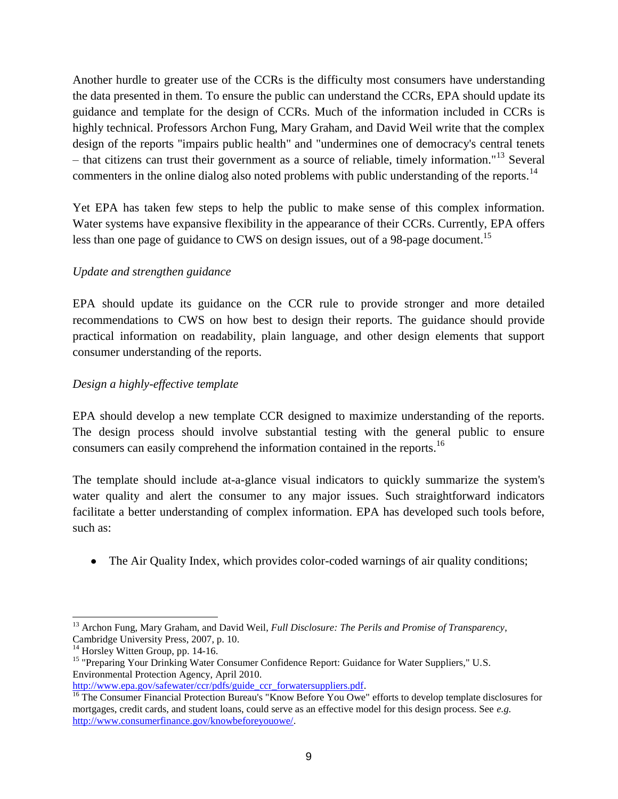Another hurdle to greater use of the CCRs is the difficulty most consumers have understanding the data presented in them. To ensure the public can understand the CCRs, EPA should update its guidance and template for the design of CCRs. Much of the information included in CCRs is highly technical. Professors Archon Fung, Mary Graham, and David Weil write that the complex design of the reports "impairs public health" and "undermines one of democracy's central tenets – that citizens can trust their government as a source of reliable, timely information."<sup>13</sup> Several commenters in the online dialog also noted problems with public understanding of the reports.<sup>14</sup>

Yet EPA has taken few steps to help the public to make sense of this complex information. Water systems have expansive flexibility in the appearance of their CCRs. Currently, EPA offers less than one page of guidance to CWS on design issues, out of a 98-page document.<sup>15</sup>

### *Update and strengthen guidance*

EPA should update its guidance on the CCR rule to provide stronger and more detailed recommendations to CWS on how best to design their reports. The guidance should provide practical information on readability, plain language, and other design elements that support consumer understanding of the reports.

### *Design a highly-effective template*

EPA should develop a new template CCR designed to maximize understanding of the reports. The design process should involve substantial testing with the general public to ensure consumers can easily comprehend the information contained in the reports.<sup>16</sup>

The template should include at-a-glance visual indicators to quickly summarize the system's water quality and alert the consumer to any major issues. Such straightforward indicators facilitate a better understanding of complex information. EPA has developed such tools before, such as:

• The Air Quality Index, which provides color-coded warnings of air quality conditions;

 $\overline{a}$ <sup>13</sup> Archon Fung, Mary Graham, and David Weil, *Full Disclosure: The Perils and Promise of Transparency*, Cambridge University Press, 2007, p. 10.

<sup>&</sup>lt;sup>14</sup> Horsley Witten Group, pp. 14-16.

<sup>&</sup>lt;sup>15</sup> "Preparing Your Drinking Water Consumer Confidence Report: Guidance for Water Suppliers," U.S. Environmental Protection Agency, April 2010.

[http://www.epa.gov/safewater/ccr/pdfs/guide\\_ccr\\_forwatersuppliers.pdf.](http://www.epa.gov/safewater/ccr/pdfs/guide_ccr_forwatersuppliers.pdf) <sup>16</sup> The Consumer Financial Protection Bureau's "Know Before You Owe" efforts to develop template disclosures for

mortgages, credit cards, and student loans, could serve as an effective model for this design process. See *e.g.* [http://www.consumerfinance.gov/knowbeforeyouowe/.](http://www.consumerfinance.gov/knowbeforeyouowe/)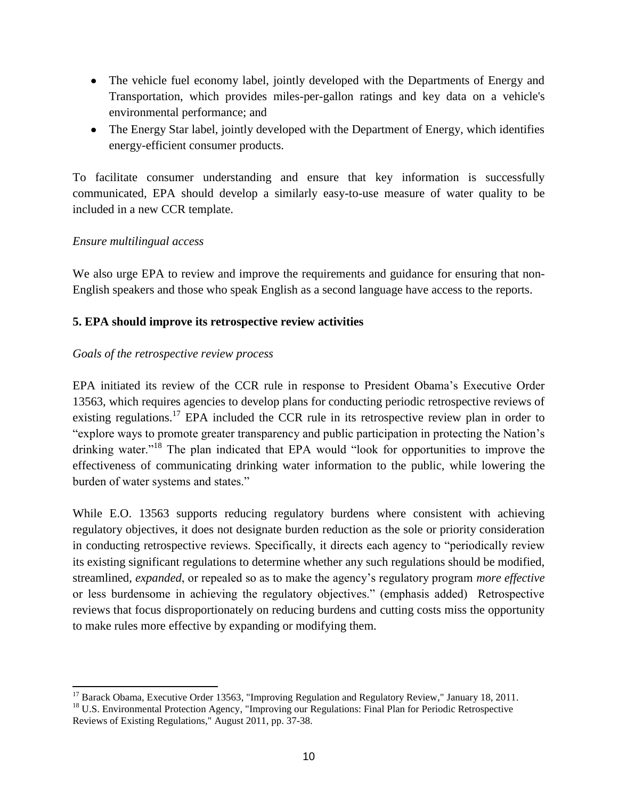- The vehicle fuel economy label, jointly developed with the Departments of Energy and Transportation, which provides miles-per-gallon ratings and key data on a vehicle's environmental performance; and
- The Energy Star label, jointly developed with the Department of Energy, which identifies energy-efficient consumer products.

To facilitate consumer understanding and ensure that key information is successfully communicated, EPA should develop a similarly easy-to-use measure of water quality to be included in a new CCR template.

# *Ensure multilingual access*

We also urge EPA to review and improve the requirements and guidance for ensuring that non-English speakers and those who speak English as a second language have access to the reports.

# **5. EPA should improve its retrospective review activities**

# *Goals of the retrospective review process*

EPA initiated its review of the CCR rule in response to President Obama's Executive Order 13563, which requires agencies to develop plans for conducting periodic retrospective reviews of existing regulations.<sup>17</sup> EPA included the CCR rule in its retrospective review plan in order to "explore ways to promote greater transparency and public participation in protecting the Nation's drinking water."<sup>18</sup> The plan indicated that EPA would "look for opportunities to improve the effectiveness of communicating drinking water information to the public, while lowering the burden of water systems and states."

While E.O. 13563 supports reducing regulatory burdens where consistent with achieving regulatory objectives, it does not designate burden reduction as the sole or priority consideration in conducting retrospective reviews. Specifically, it directs each agency to "periodically review its existing significant regulations to determine whether any such regulations should be modified, streamlined, *expanded*, or repealed so as to make the agency's regulatory program *more effective* or less burdensome in achieving the regulatory objectives." (emphasis added) Retrospective reviews that focus disproportionately on reducing burdens and cutting costs miss the opportunity to make rules more effective by expanding or modifying them.

 $\overline{a}$ <sup>17</sup> Barack Obama, Executive Order 13563, "Improving Regulation and Regulatory Review," January 18, 2011.

<sup>&</sup>lt;sup>18</sup> U.S. Environmental Protection Agency, "Improving our Regulations: Final Plan for Periodic Retrospective Reviews of Existing Regulations," August 2011, pp. 37-38.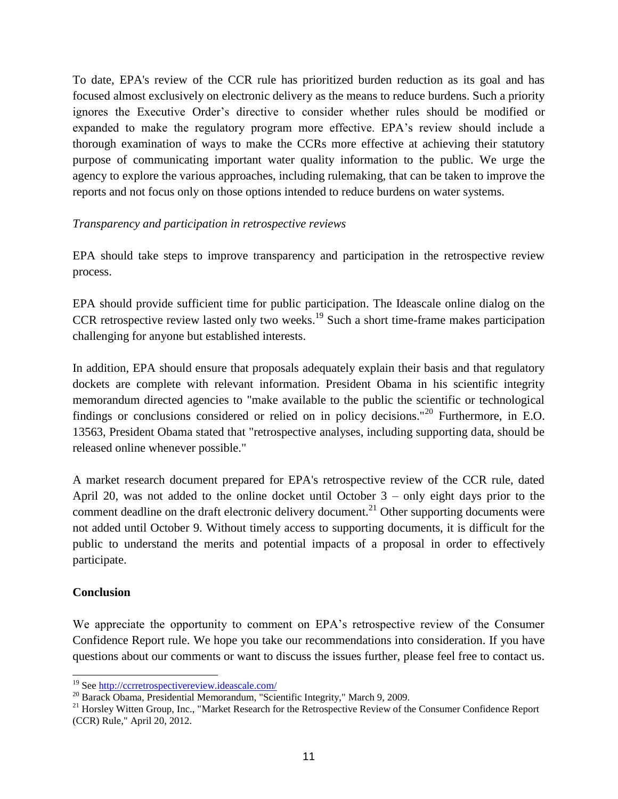To date, EPA's review of the CCR rule has prioritized burden reduction as its goal and has focused almost exclusively on electronic delivery as the means to reduce burdens. Such a priority ignores the Executive Order's directive to consider whether rules should be modified or expanded to make the regulatory program more effective. EPA's review should include a thorough examination of ways to make the CCRs more effective at achieving their statutory purpose of communicating important water quality information to the public. We urge the agency to explore the various approaches, including rulemaking, that can be taken to improve the reports and not focus only on those options intended to reduce burdens on water systems.

### *Transparency and participation in retrospective reviews*

EPA should take steps to improve transparency and participation in the retrospective review process.

EPA should provide sufficient time for public participation. The Ideascale online dialog on the CCR retrospective review lasted only two weeks.<sup>19</sup> Such a short time-frame makes participation challenging for anyone but established interests.

In addition, EPA should ensure that proposals adequately explain their basis and that regulatory dockets are complete with relevant information. President Obama in his scientific integrity memorandum directed agencies to "make available to the public the scientific or technological findings or conclusions considered or relied on in policy decisions."<sup>20</sup> Furthermore, in E.O. 13563, President Obama stated that "retrospective analyses, including supporting data, should be released online whenever possible."

A market research document prepared for EPA's retrospective review of the CCR rule, dated April 20, was not added to the online docket until October 3 – only eight days prior to the comment deadline on the draft electronic delivery document.<sup>21</sup> Other supporting documents were not added until October 9. Without timely access to supporting documents, it is difficult for the public to understand the merits and potential impacts of a proposal in order to effectively participate.

# **Conclusion**

We appreciate the opportunity to comment on EPA's retrospective review of the Consumer Confidence Report rule. We hope you take our recommendations into consideration. If you have questions about our comments or want to discuss the issues further, please feel free to contact us.

<sup>19</sup> See<http://ccrretrospectivereview.ideascale.com/>

<sup>&</sup>lt;sup>20</sup> Barack Obama, Presidential Memorandum, "Scientific Integrity," March 9, 2009.

<sup>&</sup>lt;sup>21</sup> Horsley Witten Group, Inc., "Market Research for the Retrospective Review of the Consumer Confidence Report (CCR) Rule," April 20, 2012.